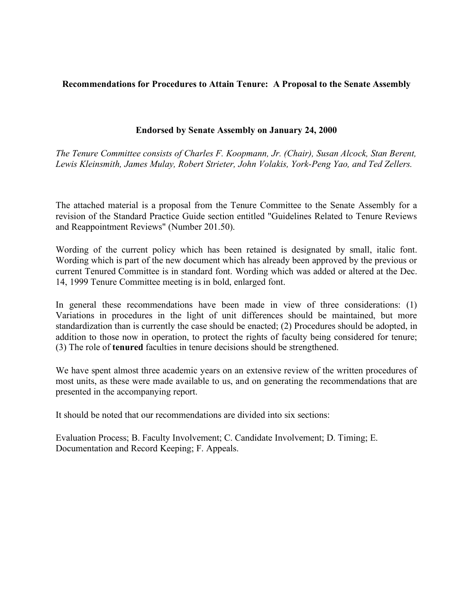## **Recommendations for Procedures to Attain Tenure: A Proposal to the Senate Assembly**

## **Endorsed by Senate Assembly on January 24, 2000**

*The Tenure Committee consists of Charles F. Koopmann, Jr. (Chair), Susan Alcock, Stan Berent, Lewis Kleinsmith, James Mulay, Robert Strieter, John Volakis, York-Peng Yao, and Ted Zellers.*

The attached material is a proposal from the Tenure Committee to the Senate Assembly for a revision of the Standard Practice Guide section entitled "Guidelines Related to Tenure Reviews and Reappointment Reviews" (Number 201.50).

Wording of the current policy which has been retained is designated by small, italic font. Wording which is part of the new document which has already been approved by the previous or current Tenured Committee is in standard font. Wording which was added or altered at the Dec. 14, 1999 Tenure Committee meeting is in bold, enlarged font.

In general these recommendations have been made in view of three considerations: (1) Variations in procedures in the light of unit differences should be maintained, but more standardization than is currently the case should be enacted; (2) Procedures should be adopted, in addition to those now in operation, to protect the rights of faculty being considered for tenure; (3) The role of **tenured** faculties in tenure decisions should be strengthened.

We have spent almost three academic years on an extensive review of the written procedures of most units, as these were made available to us, and on generating the recommendations that are presented in the accompanying report.

It should be noted that our recommendations are divided into six sections:

Evaluation Process; B. Faculty Involvement; C. Candidate Involvement; D. Timing; E. Documentation and Record Keeping; F. Appeals.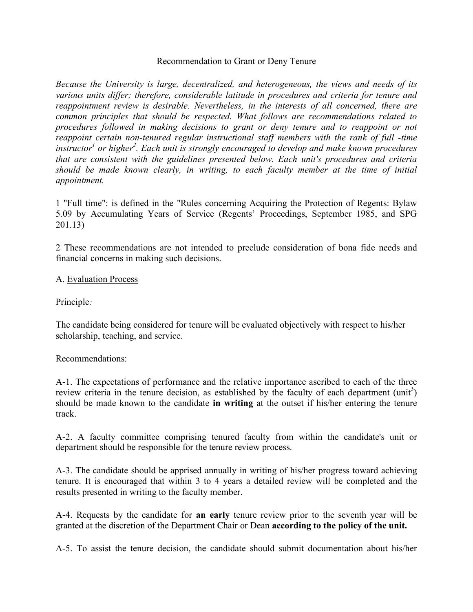#### Recommendation to Grant or Deny Tenure

*Because the University is large, decentralized, and heterogeneous, the views and needs of its various units differ; therefore, considerable latitude in procedures and criteria for tenure and reappointment review is desirable. Nevertheless, in the interests of all concerned, there are common principles that should be respected. What follows are recommendations related to procedures followed in making decisions to grant or deny tenure and to reappoint or not reappoint certain non-tenured regular instructional staff members with the rank of full -time instructor<sup>1</sup> or higher<sup>2</sup>. Each unit is strongly encouraged to develop and make known procedures that are consistent with the guidelines presented below. Each unit's procedures and criteria should be made known clearly, in writing, to each faculty member at the time of initial appointment.*

1 "Full time": is defined in the "Rules concerning Acquiring the Protection of Regents: Bylaw 5.09 by Accumulating Years of Service (Regents' Proceedings, September 1985, and SPG 201.13)

2 These recommendations are not intended to preclude consideration of bona fide needs and financial concerns in making such decisions.

#### A. Evaluation Process

Principle*:*

The candidate being considered for tenure will be evaluated objectively with respect to his/her scholarship, teaching, and service.

#### Recommendations:

A-1. The expectations of performance and the relative importance ascribed to each of the three review criteria in the tenure decision, as established by the faculty of each department  $(\text{unit}^3)$ should be made known to the candidate **in writing** at the outset if his/her entering the tenure track.

A-2. A faculty committee comprising tenured faculty from within the candidate's unit or department should be responsible for the tenure review process.

A-3. The candidate should be apprised annually in writing of his/her progress toward achieving tenure. It is encouraged that within 3 to 4 years a detailed review will be completed and the results presented in writing to the faculty member.

A-4. Requests by the candidate for **an early** tenure review prior to the seventh year will be granted at the discretion of the Department Chair or Dean **according to the policy of the unit.**

A-5. To assist the tenure decision, the candidate should submit documentation about his/her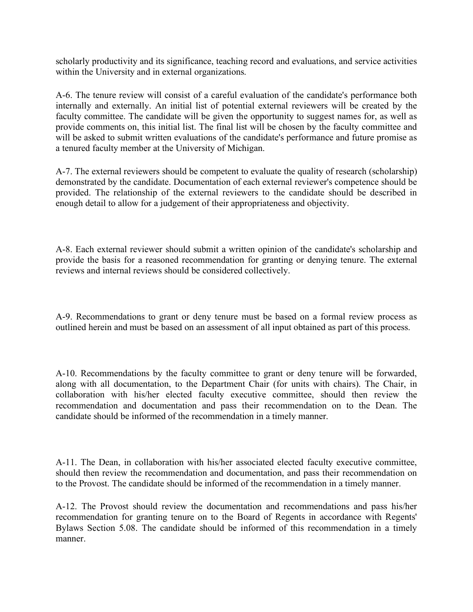scholarly productivity and its significance, teaching record and evaluations, and service activities within the University and in external organizations.

A-6. The tenure review will consist of a careful evaluation of the candidate's performance both internally and externally. An initial list of potential external reviewers will be created by the faculty committee. The candidate will be given the opportunity to suggest names for, as well as provide comments on, this initial list. The final list will be chosen by the faculty committee and will be asked to submit written evaluations of the candidate's performance and future promise as a tenured faculty member at the University of Michigan.

A-7. The external reviewers should be competent to evaluate the quality of research (scholarship) demonstrated by the candidate. Documentation of each external reviewer's competence should be provided. The relationship of the external reviewers to the candidate should be described in enough detail to allow for a judgement of their appropriateness and objectivity.

A-8. Each external reviewer should submit a written opinion of the candidate's scholarship and provide the basis for a reasoned recommendation for granting or denying tenure. The external reviews and internal reviews should be considered collectively.

A-9. Recommendations to grant or deny tenure must be based on a formal review process as outlined herein and must be based on an assessment of all input obtained as part of this process.

A-10. Recommendations by the faculty committee to grant or deny tenure will be forwarded, along with all documentation, to the Department Chair (for units with chairs). The Chair, in collaboration with his/her elected faculty executive committee, should then review the recommendation and documentation and pass their recommendation on to the Dean. The candidate should be informed of the recommendation in a timely manner.

A-11. The Dean, in collaboration with his/her associated elected faculty executive committee, should then review the recommendation and documentation, and pass their recommendation on to the Provost. The candidate should be informed of the recommendation in a timely manner.

A-12. The Provost should review the documentation and recommendations and pass his/her recommendation for granting tenure on to the Board of Regents in accordance with Regents' Bylaws Section 5.08. The candidate should be informed of this recommendation in a timely manner.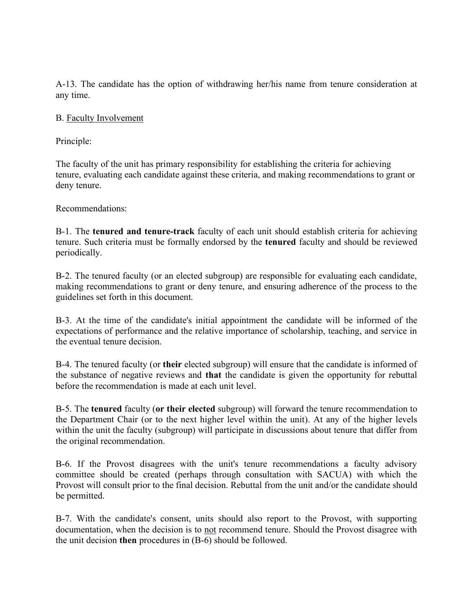A-13. The candidate has the option of withdrawing her/his name from tenure consideration at any time.

## B. Faculty Involvement

Principle:

The faculty of the unit has primary responsibility for establishing the criteria for achieving tenure, evaluating each candidate against these criteria, and making recommendations to grant or deny tenure.

Recommendations:

B-1. The **tenured and tenure-track** faculty of each unit should establish criteria for achieving tenure. Such criteria must be formally endorsed by the **tenured** faculty and should be reviewed periodically.

B-2. The tenured faculty (or an elected subgroup) are responsible for evaluating each candidate, making recommendations to grant or deny tenure, and ensuring adherence of the process to the guidelines set forth in this document.

B-3. At the time of the candidate's initial appointment the candidate will be informed of the expectations of performance and the relative importance of scholarship, teaching, and service in the eventual tenure decision.

B-4. The tenured faculty (or **their** elected subgroup) will ensure that the candidate is informed of the substance of negative reviews and **that** the candidate is given the opportunity for rebuttal before the recommendation is made at each unit level.

B-5. The **tenured** faculty (**or their elected** subgroup) will forward the tenure recommendation to the Department Chair (or to the next higher level within the unit). At any of the higher levels within the unit the faculty (subgroup) will participate in discussions about tenure that differ from the original recommendation.

B-6. If the Provost disagrees with the unit's tenure recommendations a faculty advisory committee should be created (perhaps through consultation with SACUA) with which the Provost will consult prior to the final decision. Rebuttal from the unit and/or the candidate should be permitted.

B-7. With the candidate's consent, units should also report to the Provost, with supporting documentation, when the decision is to not recommend tenure. Should the Provost disagree with the unit decision **then** procedures in (B-6) should be followed.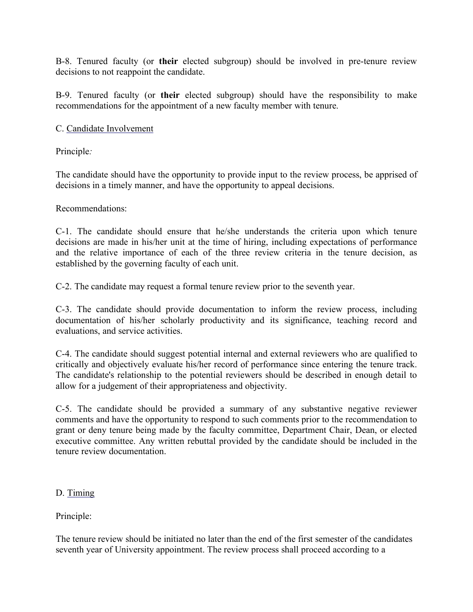B-8. Tenured faculty (or **their** elected subgroup) should be involved in pre-tenure review decisions to not reappoint the candidate.

B-9. Tenured faculty (or **their** elected subgroup) should have the responsibility to make recommendations for the appointment of a new faculty member with tenure.

## C. Candidate Involvement

Principle*:*

The candidate should have the opportunity to provide input to the review process, be apprised of decisions in a timely manner, and have the opportunity to appeal decisions.

Recommendations:

C-1. The candidate should ensure that he/she understands the criteria upon which tenure decisions are made in his/her unit at the time of hiring, including expectations of performance and the relative importance of each of the three review criteria in the tenure decision, as established by the governing faculty of each unit.

C-2. The candidate may request a formal tenure review prior to the seventh year.

C-3. The candidate should provide documentation to inform the review process, including documentation of his/her scholarly productivity and its significance, teaching record and evaluations, and service activities.

C-4. The candidate should suggest potential internal and external reviewers who are qualified to critically and objectively evaluate his/her record of performance since entering the tenure track. The candidate's relationship to the potential reviewers should be described in enough detail to allow for a judgement of their appropriateness and objectivity.

C-5. The candidate should be provided a summary of any substantive negative reviewer comments and have the opportunity to respond to such comments prior to the recommendation to grant or deny tenure being made by the faculty committee, Department Chair, Dean, or elected executive committee. Any written rebuttal provided by the candidate should be included in the tenure review documentation.

## D. Timing

Principle:

The tenure review should be initiated no later than the end of the first semester of the candidates seventh year of University appointment. The review process shall proceed according to a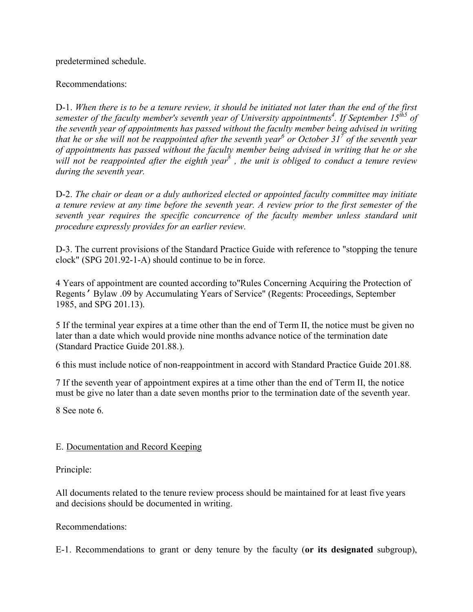predetermined schedule.

## Recommendations:

D-1. *When there is to be a tenure review, it should be initiated not later than the end of the first semester of the faculty member's seventh year of University appointments<sup>4</sup>. If September 15<sup>th5</sup> of the seventh year of appointments has passed without the faculty member being advised in writing that he or she will not be reappointed after the seventh year<sup>6</sup> or October 31<sup>7</sup> of the seventh year of appointments has passed without the faculty member being advised in writing that he or she*  will not be reappointed after the eighth year<sup>8</sup>, the unit is obliged to conduct a tenure review *during the seventh year.*

D-2. *The chair or dean or a duly authorized elected or appointed faculty committee may initiate a tenure review at any time before the seventh year. A review prior to the first semester of the seventh year requires the specific concurrence of the faculty member unless standard unit procedure expressly provides for an earlier review.*

D-3. The current provisions of the Standard Practice Guide with reference to "stopping the tenure clock" (SPG 201.92-1-A) should continue to be in force.

4 Years of appointment are counted according to"Rules Concerning Acquiring the Protection of Regents*'* Bylaw .09 by Accumulating Years of Service" (Regents: Proceedings, September 1985, and SPG 201.13).

5 If the terminal year expires at a time other than the end of Term II, the notice must be given no later than a date which would provide nine months advance notice of the termination date (Standard Practice Guide 201.88.).

6 this must include notice of non-reappointment in accord with Standard Practice Guide 201.88.

7 If the seventh year of appointment expires at a time other than the end of Term II, the notice must be give no later than a date seven months prior to the termination date of the seventh year.

8 See note 6.

# E. Documentation and Record Keeping

Principle:

All documents related to the tenure review process should be maintained for at least five years and decisions should be documented in writing.

Recommendations:

E-1. Recommendations to grant or deny tenure by the faculty (**or its designated** subgroup),